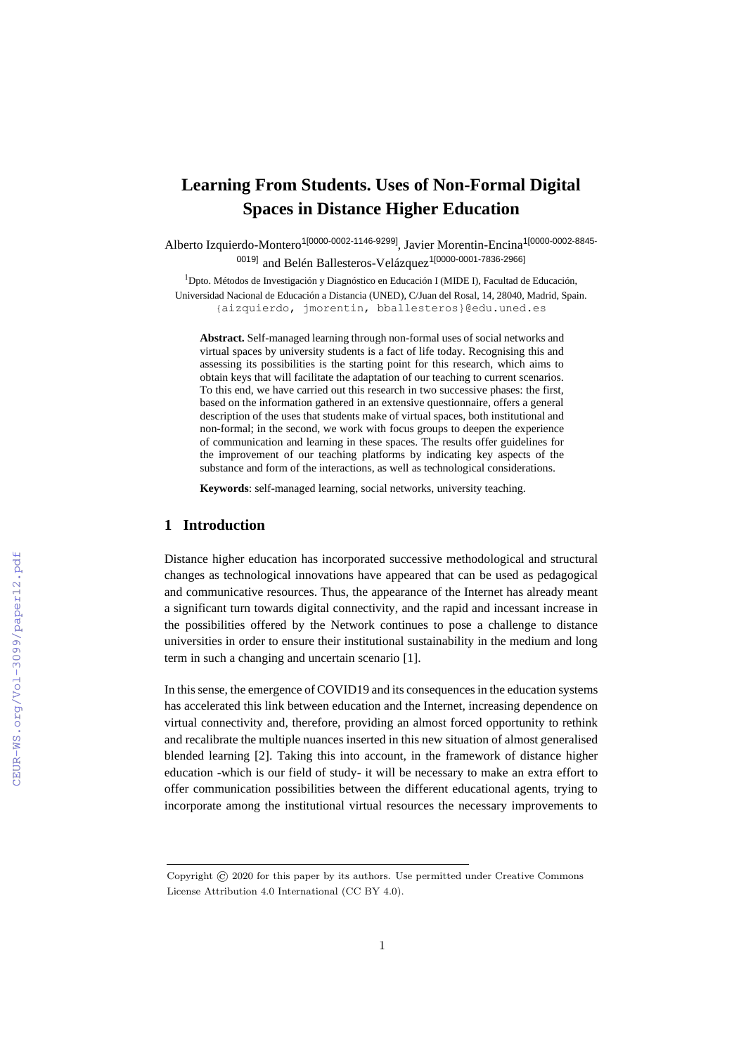# **Learning From Students. Uses of Non-Formal Digital Spaces in Distance Higher Education**

Alberto Izquierdo-Montero<sup>1[0000-0002-1146-9299]</sup>, Javier Morentin-Encina<sup>1[0000-0002-8845-</sup> 0019] and Belén Ballesteros-Velázquez<sup>1[0000-0001-7836-2966]</sup>

<sup>1</sup>Dpto. Métodos de Investigación y Diagnóstico en Educación I (MIDE I), Facultad de Educación, Universidad Nacional de Educación a Distancia (UNED), C/Juan del Rosal, 14, 28040, Madrid, Spain. {aizquierdo, jmorentin, bballesteros}@edu.uned.es

**Abstract.** Self-managed learning through non-formal uses of social networks and virtual spaces by university students is a fact of life today. Recognising this and assessing its possibilities is the starting point for this research, which aims to obtain keys that will facilitate the adaptation of our teaching to current scenarios. To this end, we have carried out this research in two successive phases: the first, based on the information gathered in an extensive questionnaire, offers a general description of the uses that students make of virtual spaces, both institutional and non-formal; in the second, we work with focus groups to deepen the experience of communication and learning in these spaces. The results offer guidelines for the improvement of our teaching platforms by indicating key aspects of the substance and form of the interactions, as well as technological considerations.

**Keywords**: self-managed learning, social networks, university teaching.

#### **1 Introduction**

Distance higher education has incorporated successive methodological and structural changes as technological innovations have appeared that can be used as pedagogical and communicative resources. Thus, the appearance of the Internet has already meant a significant turn towards digital connectivity, and the rapid and incessant increase in the possibilities offered by the Network continues to pose a challenge to distance universities in order to ensure their institutional sustainability in the medium and long term in such a changing and uncertain scenario [1].

In this sense, the emergence of COVID19 and its consequences in the education systems has accelerated this link between education and the Internet, increasing dependence on virtual connectivity and, therefore, providing an almost forced opportunity to rethink and recalibrate the multiple nuances inserted in this new situation of almost generalised blended learning [2]. Taking this into account, in the framework of distance higher education -which is our field of study- it will be necessary to make an extra effort to offer communication possibilities between the different educational agents, trying to incorporate among the institutional virtual resources the necessary improvements to

Copyright © 2020 for this paper by its authors. Use permitted under Creative Commons License Attribution 4.0 International (CC BY 4.0).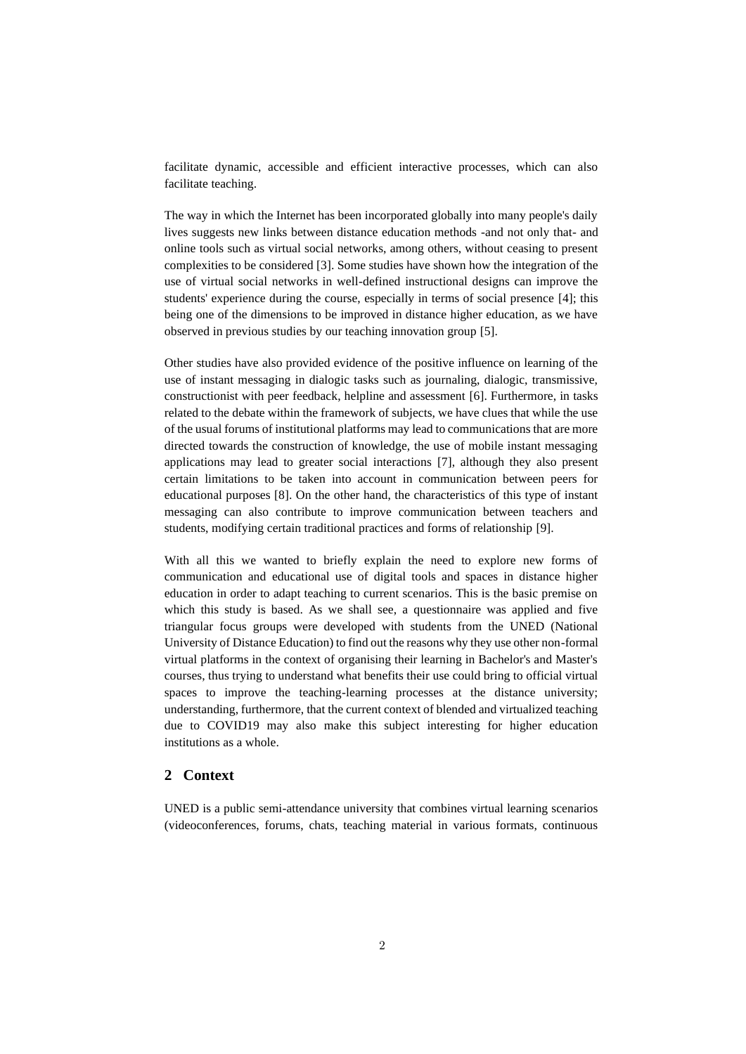facilitate dynamic, accessible and efficient interactive processes, which can also facilitate teaching.

The way in which the Internet has been incorporated globally into many people's daily lives suggests new links between distance education methods -and not only that- and online tools such as virtual social networks, among others, without ceasing to present complexities to be considered [3]. Some studies have shown how the integration of the use of virtual social networks in well-defined instructional designs can improve the students' experience during the course, especially in terms of social presence [4]; this being one of the dimensions to be improved in distance higher education, as we have observed in previous studies by our teaching innovation group [5].

Other studies have also provided evidence of the positive influence on learning of the use of instant messaging in dialogic tasks such as journaling, dialogic, transmissive, constructionist with peer feedback, helpline and assessment [6]. Furthermore, in tasks related to the debate within the framework of subjects, we have clues that while the use of the usual forums of institutional platforms may lead to communications that are more directed towards the construction of knowledge, the use of mobile instant messaging applications may lead to greater social interactions [7], although they also present certain limitations to be taken into account in communication between peers for educational purposes [8]. On the other hand, the characteristics of this type of instant messaging can also contribute to improve communication between teachers and students, modifying certain traditional practices and forms of relationship [9].

With all this we wanted to briefly explain the need to explore new forms of communication and educational use of digital tools and spaces in distance higher education in order to adapt teaching to current scenarios. This is the basic premise on which this study is based. As we shall see, a questionnaire was applied and five triangular focus groups were developed with students from the UNED (National University of Distance Education) to find out the reasons why they use other non-formal virtual platforms in the context of organising their learning in Bachelor's and Master's courses, thus trying to understand what benefits their use could bring to official virtual spaces to improve the teaching-learning processes at the distance university; understanding, furthermore, that the current context of blended and virtualized teaching due to COVID19 may also make this subject interesting for higher education institutions as a whole.

### **2 Context**

UNED is a public semi-attendance university that combines virtual learning scenarios (videoconferences, forums, chats, teaching material in various formats, continuous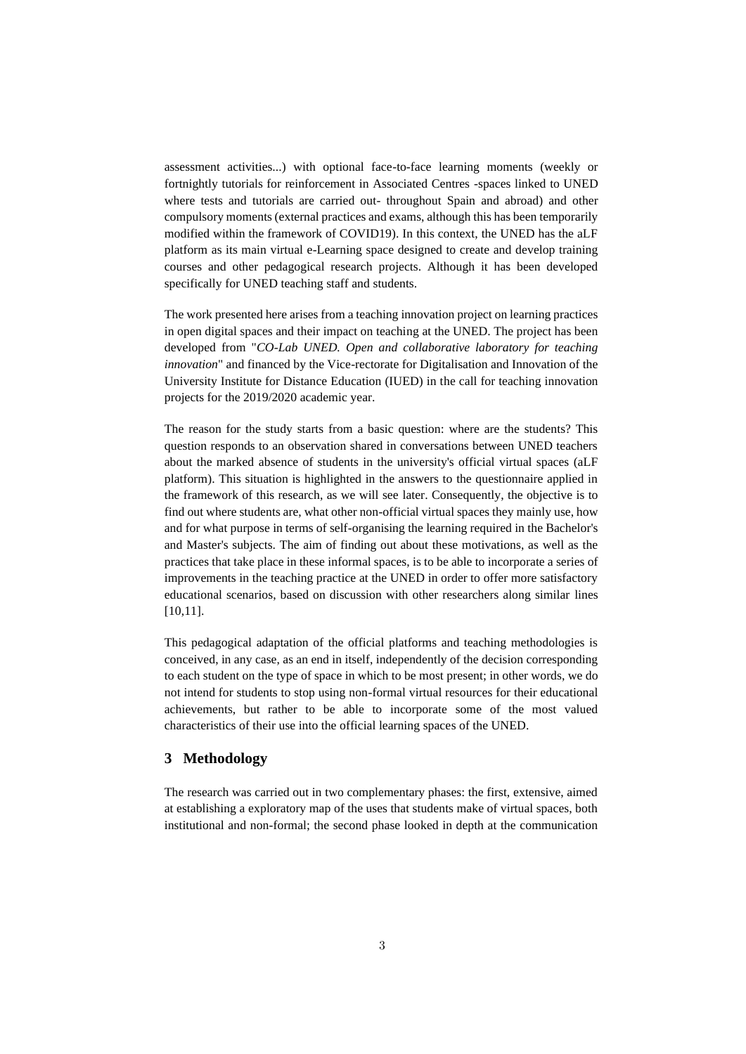assessment activities...) with optional face-to-face learning moments (weekly or fortnightly tutorials for reinforcement in Associated Centres -spaces linked to UNED where tests and tutorials are carried out- throughout Spain and abroad) and other compulsory moments (external practices and exams, although this has been temporarily modified within the framework of COVID19). In this context, the UNED has the aLF platform as its main virtual e-Learning space designed to create and develop training courses and other pedagogical research projects. Although it has been developed specifically for UNED teaching staff and students.

The work presented here arises from a teaching innovation project on learning practices in open digital spaces and their impact on teaching at the UNED. The project has been developed from "*CO-Lab UNED. Open and collaborative laboratory for teaching innovation*" and financed by the Vice-rectorate for Digitalisation and Innovation of the University Institute for Distance Education (IUED) in the call for teaching innovation projects for the 2019/2020 academic year.

The reason for the study starts from a basic question: where are the students? This question responds to an observation shared in conversations between UNED teachers about the marked absence of students in the university's official virtual spaces (aLF platform). This situation is highlighted in the answers to the questionnaire applied in the framework of this research, as we will see later. Consequently, the objective is to find out where students are, what other non-official virtual spaces they mainly use, how and for what purpose in terms of self-organising the learning required in the Bachelor's and Master's subjects. The aim of finding out about these motivations, as well as the practices that take place in these informal spaces, is to be able to incorporate a series of improvements in the teaching practice at the UNED in order to offer more satisfactory educational scenarios, based on discussion with other researchers along similar lines [10,11].

This pedagogical adaptation of the official platforms and teaching methodologies is conceived, in any case, as an end in itself, independently of the decision corresponding to each student on the type of space in which to be most present; in other words, we do not intend for students to stop using non-formal virtual resources for their educational achievements, but rather to be able to incorporate some of the most valued characteristics of their use into the official learning spaces of the UNED.

## **3 Methodology**

The research was carried out in two complementary phases: the first, extensive, aimed at establishing a exploratory map of the uses that students make of virtual spaces, both institutional and non-formal; the second phase looked in depth at the communication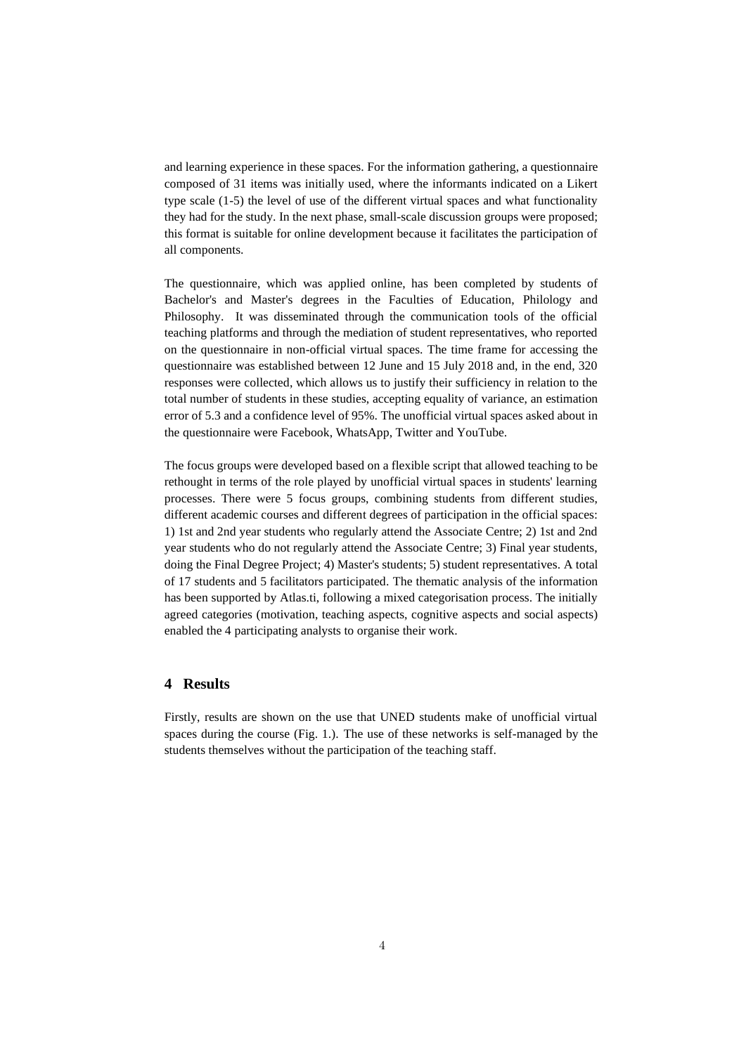and learning experience in these spaces. For the information gathering, a questionnaire composed of 31 items was initially used, where the informants indicated on a Likert type scale (1-5) the level of use of the different virtual spaces and what functionality they had for the study. In the next phase, small-scale discussion groups were proposed; this format is suitable for online development because it facilitates the participation of all components.

The questionnaire, which was applied online, has been completed by students of Bachelor's and Master's degrees in the Faculties of Education, Philology and Philosophy. It was disseminated through the communication tools of the official teaching platforms and through the mediation of student representatives, who reported on the questionnaire in non-official virtual spaces. The time frame for accessing the questionnaire was established between 12 June and 15 July 2018 and, in the end, 320 responses were collected, which allows us to justify their sufficiency in relation to the total number of students in these studies, accepting equality of variance, an estimation error of 5.3 and a confidence level of 95%. The unofficial virtual spaces asked about in the questionnaire were Facebook, WhatsApp, Twitter and YouTube.

The focus groups were developed based on a flexible script that allowed teaching to be rethought in terms of the role played by unofficial virtual spaces in students' learning processes. There were 5 focus groups, combining students from different studies, different academic courses and different degrees of participation in the official spaces: 1) 1st and 2nd year students who regularly attend the Associate Centre; 2) 1st and 2nd year students who do not regularly attend the Associate Centre; 3) Final year students, doing the Final Degree Project; 4) Master's students; 5) student representatives. A total of 17 students and 5 facilitators participated. The thematic analysis of the information has been supported by Atlas.ti, following a mixed categorisation process. The initially agreed categories (motivation, teaching aspects, cognitive aspects and social aspects) enabled the 4 participating analysts to organise their work.

#### **4 Results**

Firstly, results are shown on the use that UNED students make of unofficial virtual spaces during the course (Fig. 1.). The use of these networks is self-managed by the students themselves without the participation of the teaching staff.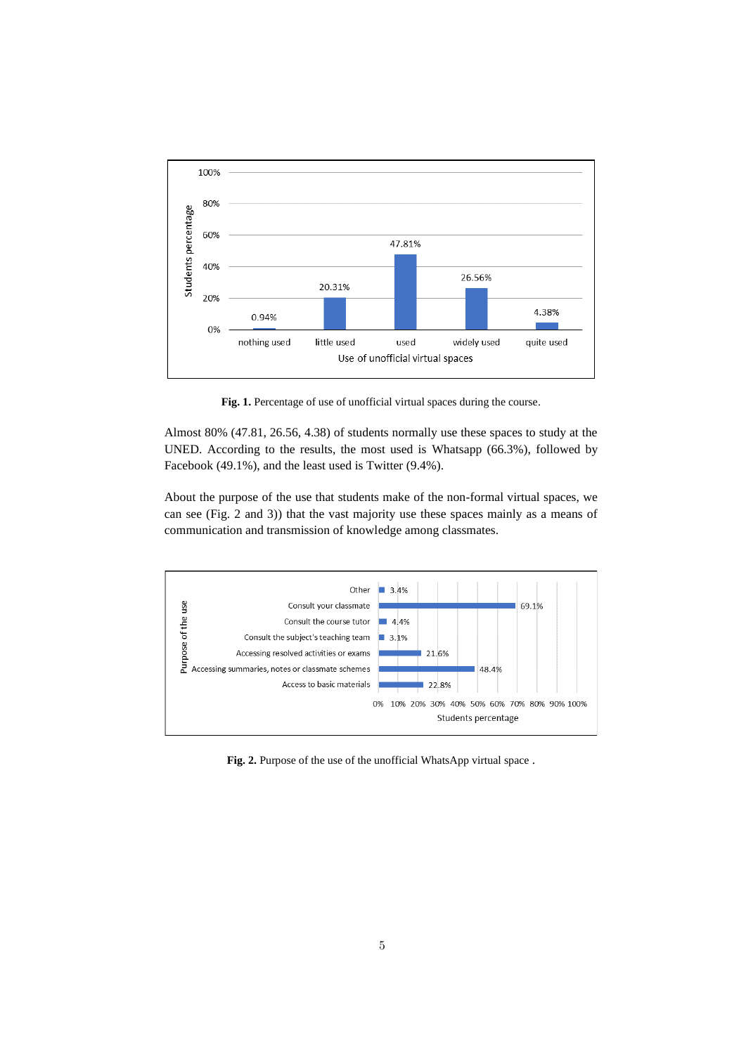

Fig. 1. Percentage of use of unofficial virtual spaces during the course.

Almost 80% (47.81, 26.56, 4.38) of students normally use these spaces to study at the UNED. According to the results, the most used is Whatsapp (66.3%), followed by Facebook (49.1%), and the least used is Twitter (9.4%).

About the purpose of the use that students make of the non-formal virtual spaces, we can see (Fig. 2 and 3)) that the vast majority use these spaces mainly as a means of communication and transmission of knowledge among classmates.



Fig. 2. Purpose of the use of the unofficial WhatsApp virtual space.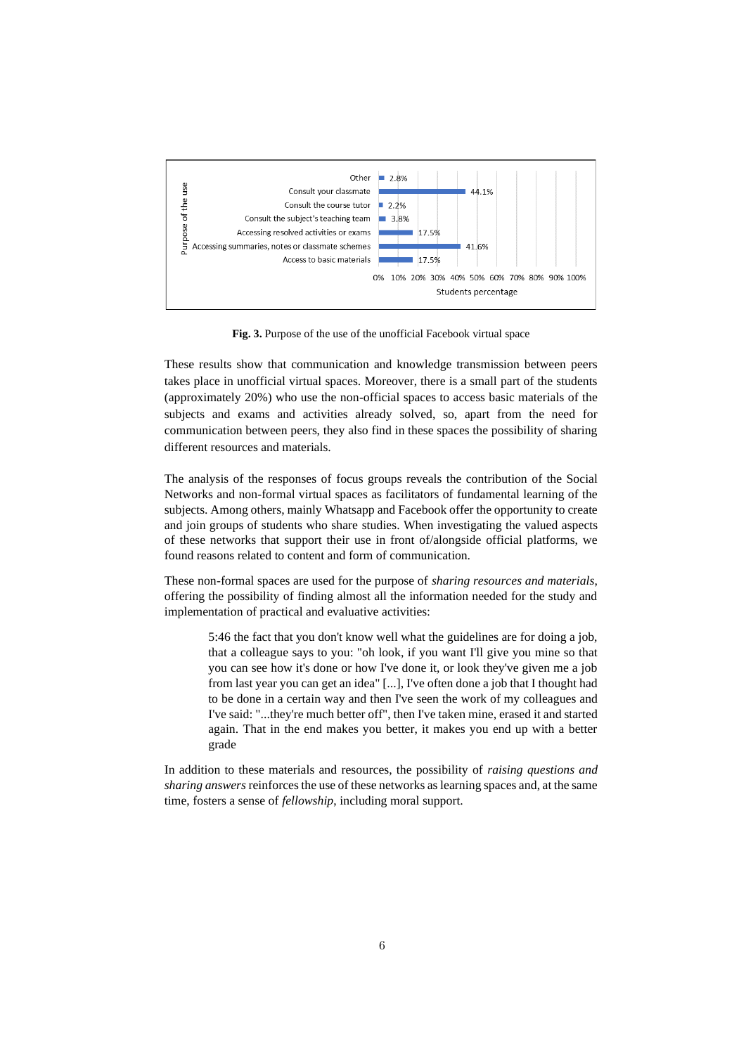

**Fig. 3.** Purpose of the use of the unofficial Facebook virtual space

These results show that communication and knowledge transmission between peers takes place in unofficial virtual spaces. Moreover, there is a small part of the students (approximately 20%) who use the non-official spaces to access basic materials of the subjects and exams and activities already solved, so, apart from the need for communication between peers, they also find in these spaces the possibility of sharing different resources and materials.

The analysis of the responses of focus groups reveals the contribution of the Social Networks and non-formal virtual spaces as facilitators of fundamental learning of the subjects. Among others, mainly Whatsapp and Facebook offer the opportunity to create and join groups of students who share studies. When investigating the valued aspects of these networks that support their use in front of/alongside official platforms, we found reasons related to content and form of communication.

These non-formal spaces are used for the purpose of *sharing resources and materials*, offering the possibility of finding almost all the information needed for the study and implementation of practical and evaluative activities:

5:46 the fact that you don't know well what the guidelines are for doing a job, that a colleague says to you: "oh look, if you want I'll give you mine so that you can see how it's done or how I've done it, or look they've given me a job from last year you can get an idea" [...], I've often done a job that I thought had to be done in a certain way and then I've seen the work of my colleagues and I've said: "...they're much better off", then I've taken mine, erased it and started again. That in the end makes you better, it makes you end up with a better grade

In addition to these materials and resources, the possibility of *raising questions and sharing answers* reinforces the use of these networks as learning spaces and, at the same time, fosters a sense of *fellowship*, including moral support.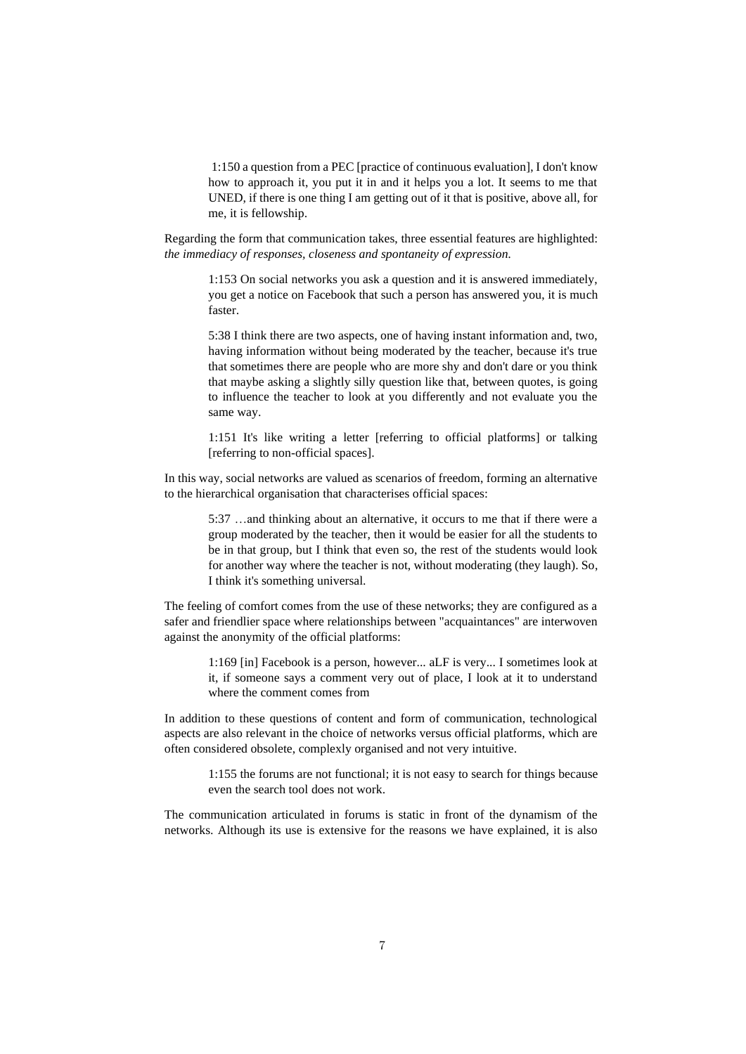1:150 a question from a PEC [practice of continuous evaluation], I don't know how to approach it, you put it in and it helps you a lot. It seems to me that UNED, if there is one thing I am getting out of it that is positive, above all, for me, it is fellowship.

Regarding the form that communication takes, three essential features are highlighted: *the immediacy of responses, closeness and spontaneity of expression.*

> 1:153 On social networks you ask a question and it is answered immediately, you get a notice on Facebook that such a person has answered you, it is much faster.

> 5:38 I think there are two aspects, one of having instant information and, two, having information without being moderated by the teacher, because it's true that sometimes there are people who are more shy and don't dare or you think that maybe asking a slightly silly question like that, between quotes, is going to influence the teacher to look at you differently and not evaluate you the same way.

> 1:151 It's like writing a letter [referring to official platforms] or talking [referring to non-official spaces].

In this way, social networks are valued as scenarios of freedom, forming an alternative to the hierarchical organisation that characterises official spaces:

5:37 …and thinking about an alternative, it occurs to me that if there were a group moderated by the teacher, then it would be easier for all the students to be in that group, but I think that even so, the rest of the students would look for another way where the teacher is not, without moderating (they laugh). So, I think it's something universal.

The feeling of comfort comes from the use of these networks; they are configured as a safer and friendlier space where relationships between "acquaintances" are interwoven against the anonymity of the official platforms:

1:169 [in] Facebook is a person, however... aLF is very... I sometimes look at it, if someone says a comment very out of place, I look at it to understand where the comment comes from

In addition to these questions of content and form of communication, technological aspects are also relevant in the choice of networks versus official platforms, which are often considered obsolete, complexly organised and not very intuitive.

> 1:155 the forums are not functional; it is not easy to search for things because even the search tool does not work.

The communication articulated in forums is static in front of the dynamism of the networks. Although its use is extensive for the reasons we have explained, it is also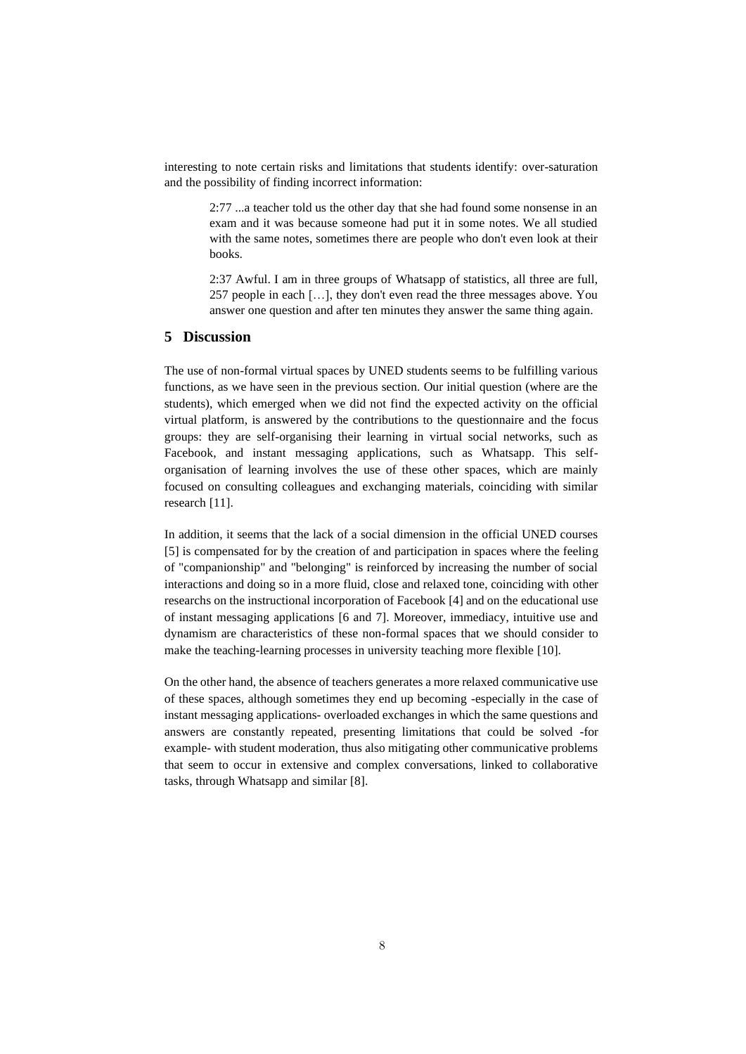interesting to note certain risks and limitations that students identify: over-saturation and the possibility of finding incorrect information:

> 2:77 ...a teacher told us the other day that she had found some nonsense in an exam and it was because someone had put it in some notes. We all studied with the same notes, sometimes there are people who don't even look at their books.

> 2:37 Awful. I am in three groups of Whatsapp of statistics, all three are full, 257 people in each […], they don't even read the three messages above. You answer one question and after ten minutes they answer the same thing again.

## **5 Discussion**

The use of non-formal virtual spaces by UNED students seems to be fulfilling various functions, as we have seen in the previous section. Our initial question (where are the students), which emerged when we did not find the expected activity on the official virtual platform, is answered by the contributions to the questionnaire and the focus groups: they are self-organising their learning in virtual social networks, such as Facebook, and instant messaging applications, such as Whatsapp. This selforganisation of learning involves the use of these other spaces, which are mainly focused on consulting colleagues and exchanging materials, coinciding with similar research [11].

In addition, it seems that the lack of a social dimension in the official UNED courses [5] is compensated for by the creation of and participation in spaces where the feeling of "companionship" and "belonging" is reinforced by increasing the number of social interactions and doing so in a more fluid, close and relaxed tone, coinciding with other researchs on the instructional incorporation of Facebook [4] and on the educational use of instant messaging applications [6 and 7]. Moreover, immediacy, intuitive use and dynamism are characteristics of these non-formal spaces that we should consider to make the teaching-learning processes in university teaching more flexible [10].

On the other hand, the absence of teachers generates a more relaxed communicative use of these spaces, although sometimes they end up becoming -especially in the case of instant messaging applications- overloaded exchanges in which the same questions and answers are constantly repeated, presenting limitations that could be solved -for example- with student moderation, thus also mitigating other communicative problems that seem to occur in extensive and complex conversations, linked to collaborative tasks, through Whatsapp and similar [8].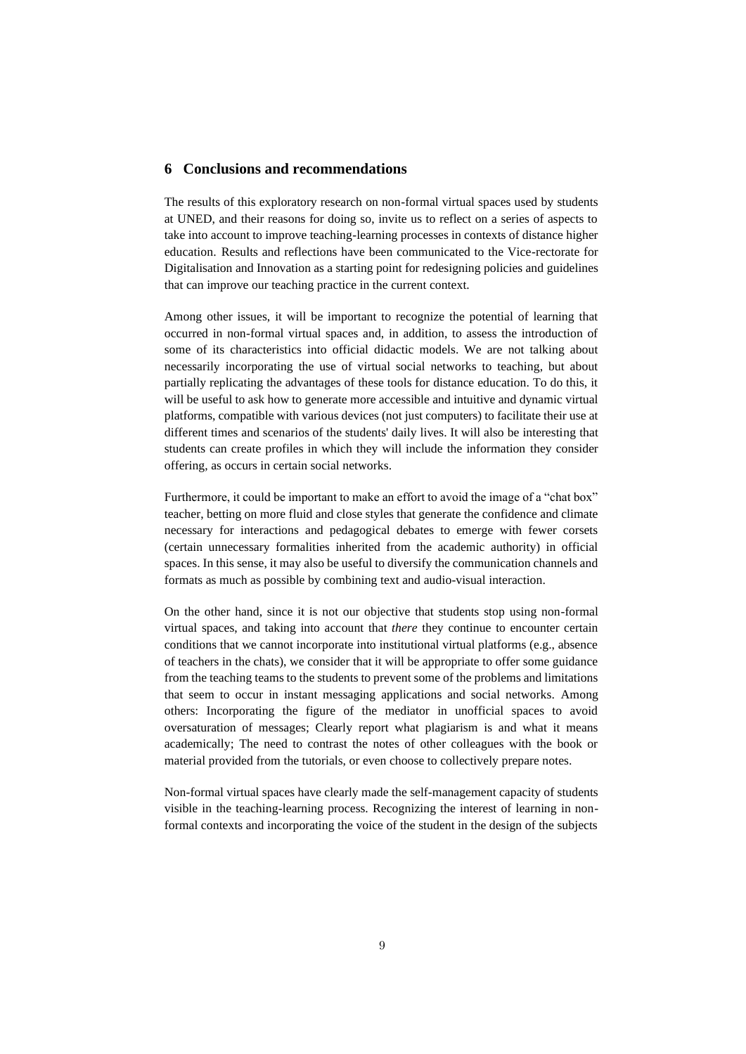#### **6 Conclusions and recommendations**

The results of this exploratory research on non-formal virtual spaces used by students at UNED, and their reasons for doing so, invite us to reflect on a series of aspects to take into account to improve teaching-learning processes in contexts of distance higher education. Results and reflections have been communicated to the Vice-rectorate for Digitalisation and Innovation as a starting point for redesigning policies and guidelines that can improve our teaching practice in the current context.

Among other issues, it will be important to recognize the potential of learning that occurred in non-formal virtual spaces and, in addition, to assess the introduction of some of its characteristics into official didactic models. We are not talking about necessarily incorporating the use of virtual social networks to teaching, but about partially replicating the advantages of these tools for distance education. To do this, it will be useful to ask how to generate more accessible and intuitive and dynamic virtual platforms, compatible with various devices (not just computers) to facilitate their use at different times and scenarios of the students' daily lives. It will also be interesting that students can create profiles in which they will include the information they consider offering, as occurs in certain social networks.

Furthermore, it could be important to make an effort to avoid the image of a "chat box" teacher, betting on more fluid and close styles that generate the confidence and climate necessary for interactions and pedagogical debates to emerge with fewer corsets (certain unnecessary formalities inherited from the academic authority) in official spaces. In this sense, it may also be useful to diversify the communication channels and formats as much as possible by combining text and audio-visual interaction.

On the other hand, since it is not our objective that students stop using non-formal virtual spaces, and taking into account that *there* they continue to encounter certain conditions that we cannot incorporate into institutional virtual platforms (e.g., absence of teachers in the chats), we consider that it will be appropriate to offer some guidance from the teaching teams to the students to prevent some of the problems and limitations that seem to occur in instant messaging applications and social networks. Among others: Incorporating the figure of the mediator in unofficial spaces to avoid oversaturation of messages; Clearly report what plagiarism is and what it means academically; The need to contrast the notes of other colleagues with the book or material provided from the tutorials, or even choose to collectively prepare notes.

Non-formal virtual spaces have clearly made the self-management capacity of students visible in the teaching-learning process. Recognizing the interest of learning in nonformal contexts and incorporating the voice of the student in the design of the subjects